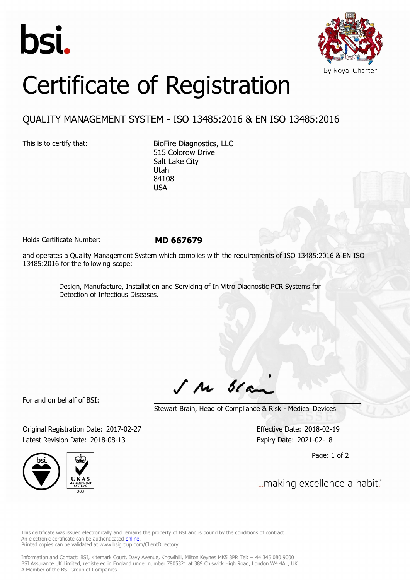



## Certificate of Registration

## QUALITY MANAGEMENT SYSTEM - ISO 13485:2016 & EN ISO 13485:2016

This is to certify that: BioFire Diagnostics, LLC 515 Colorow Drive Salt Lake City Utah 84108 USA

Holds Certificate Number: **MD 667679**

and operates a Quality Management System which complies with the requirements of ISO 13485:2016 & EN ISO 13485:2016 for the following scope:

> Design, Manufacture, Installation and Servicing of In Vitro Diagnostic PCR Systems for Detection of Infectious Diseases.

For and on behalf of BSI:

 $J$   $M$   $31$ 

Stewart Brain, Head of Compliance & Risk - Medical Devices

Original Registration Date: 2017-02-27 Effective Date: 2018-02-19 Latest Revision Date: 2018-08-13 Expiry Date: 2021-02-18



Page: 1 of 2

... making excellence a habit."

This certificate was issued electronically and remains the property of BSI and is bound by the conditions of contract. An electronic certificate can be authenticated **[online](https://pgplus.bsigroup.com/CertificateValidation/CertificateValidator.aspx?CertificateNumber=MD+667679&ReIssueDate=13%2f08%2f2018&Template=uk)**. Printed copies can be validated at www.bsigroup.com/ClientDirectory

Information and Contact: BSI, Kitemark Court, Davy Avenue, Knowlhill, Milton Keynes MK5 8PP. Tel: + 44 345 080 9000 BSI Assurance UK Limited, registered in England under number 7805321 at 389 Chiswick High Road, London W4 4AL, UK. A Member of the BSI Group of Companies.